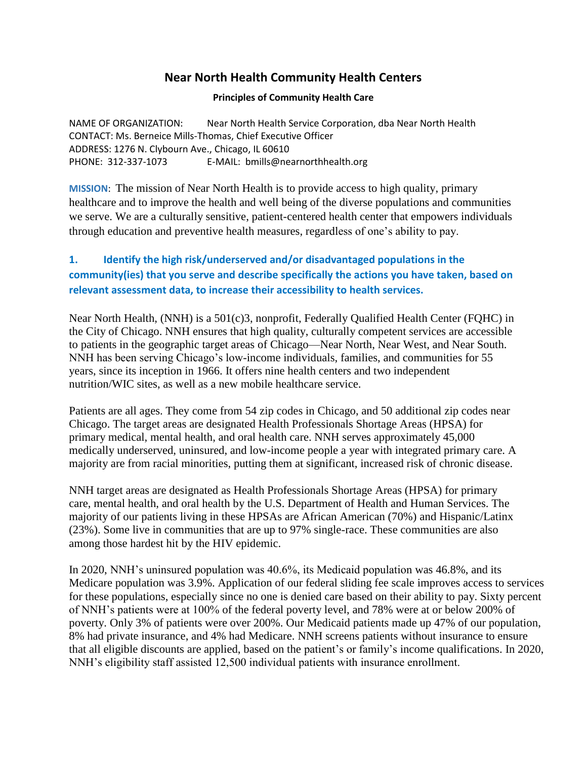# **Near North Health Community Health Centers**

### **Principles of Community Health Care**

NAME OF ORGANIZATION: Near North Health Service Corporation, dba Near North Health CONTACT: Ms. Berneice Mills-Thomas, Chief Executive Officer ADDRESS: 1276 N. Clybourn Ave., Chicago, IL 60610 PHONE: 312-337-1073 E-MAIL: bmills@nearnorthhealth.org

**MISSION**: The mission of Near North Health is to provide access to high quality, primary healthcare and to improve the health and well being of the diverse populations and communities we serve. We are a culturally sensitive, patient-centered health center that empowers individuals through education and preventive health measures, regardless of one's ability to pay.

# **1. Identify the high risk/underserved and/or disadvantaged populations in the community(ies) that you serve and describe specifically the actions you have taken, based on relevant assessment data, to increase their accessibility to health services.**

Near North Health, (NNH) is a 501(c)3, nonprofit, Federally Qualified Health Center (FQHC) in the City of Chicago. NNH ensures that high quality, culturally competent services are accessible to patients in the geographic target areas of Chicago—Near North, Near West, and Near South. NNH has been serving Chicago's low-income individuals, families, and communities for 55 years, since its inception in 1966. It offers nine health centers and two independent nutrition/WIC sites, as well as a new mobile healthcare service.

Patients are all ages. They come from 54 zip codes in Chicago, and 50 additional zip codes near Chicago. The target areas are designated Health Professionals Shortage Areas (HPSA) for primary medical, mental health, and oral health care. NNH serves approximately 45,000 medically underserved, uninsured, and low-income people a year with integrated primary care. A majority are from racial minorities, putting them at significant, increased risk of chronic disease.

NNH target areas are designated as Health Professionals Shortage Areas (HPSA) for primary care, mental health, and oral health by the U.S. Department of Health and Human Services. The majority of our patients living in these HPSAs are African American (70%) and Hispanic/Latinx (23%). Some live in communities that are up to 97% single-race. These communities are also among those hardest hit by the HIV epidemic.

In 2020, NNH's uninsured population was 40.6%, its Medicaid population was 46.8%, and its Medicare population was 3.9%. Application of our federal sliding fee scale improves access to services for these populations, especially since no one is denied care based on their ability to pay. Sixty percent of NNH's patients were at 100% of the federal poverty level, and 78% were at or below 200% of poverty. Only 3% of patients were over 200%. Our Medicaid patients made up 47% of our population, 8% had private insurance, and 4% had Medicare. NNH screens patients without insurance to ensure that all eligible discounts are applied, based on the patient's or family's income qualifications. In 2020, NNH's eligibility staff assisted 12,500 individual patients with insurance enrollment.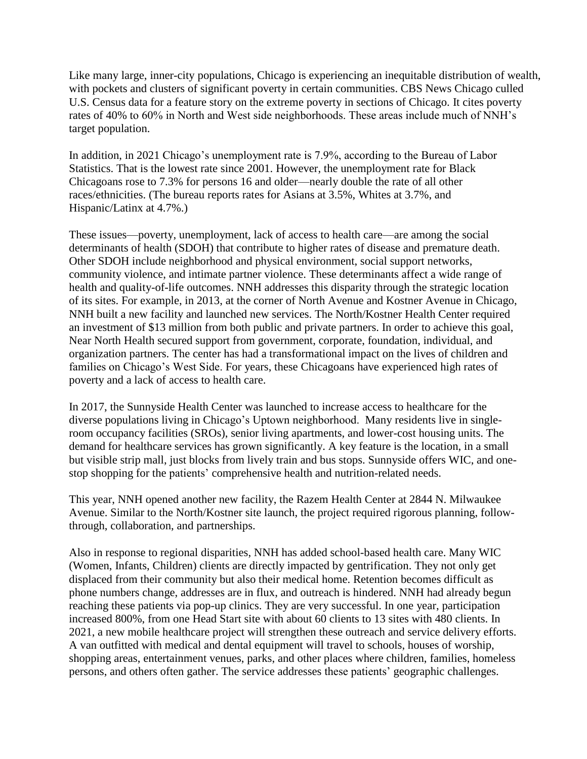Like many large, inner-city populations, Chicago is experiencing an inequitable distribution of wealth, with pockets and clusters of significant poverty in certain communities. CBS News Chicago culled U.S. Census data for a feature story on the extreme poverty in sections of Chicago. It cites poverty rates of 40% to 60% in North and West side neighborhoods. These areas include much of NNH's target population.

In addition, in 2021 Chicago's unemployment rate is 7.9%, according to the Bureau of Labor Statistics. That is the lowest rate since 2001. However, the unemployment rate for Black Chicagoans rose to 7.3% for persons 16 and older—nearly double the rate of all other races/ethnicities. (The bureau reports rates for Asians at 3.5%, Whites at 3.7%, and Hispanic/Latinx at 4.7%.)

These issues—poverty, unemployment, lack of access to health care—are among the social determinants of health (SDOH) that contribute to higher rates of disease and premature death. Other SDOH include neighborhood and physical environment, social support networks, community violence, and intimate partner violence. These determinants affect a wide range of health and quality-of-life outcomes. NNH addresses this disparity through the strategic location of its sites. For example, in 2013, at the corner of North Avenue and Kostner Avenue in Chicago, NNH built a new facility and launched new services. The North/Kostner Health Center required an investment of \$13 million from both public and private partners. In order to achieve this goal, Near North Health secured support from government, corporate, foundation, individual, and organization partners. The center has had a transformational impact on the lives of children and families on Chicago's West Side. For years, these Chicagoans have experienced high rates of poverty and a lack of access to health care.

In 2017, the Sunnyside Health Center was launched to increase access to healthcare for the diverse populations living in Chicago's Uptown neighborhood. Many residents live in singleroom occupancy facilities (SROs), senior living apartments, and lower-cost housing units. The demand for healthcare services has grown significantly. A key feature is the location, in a small but visible strip mall, just blocks from lively train and bus stops. Sunnyside offers WIC, and onestop shopping for the patients' comprehensive health and nutrition-related needs.

This year, NNH opened another new facility, the Razem Health Center at 2844 N. Milwaukee Avenue. Similar to the North/Kostner site launch, the project required rigorous planning, followthrough, collaboration, and partnerships.

Also in response to regional disparities, NNH has added school-based health care. Many WIC (Women, Infants, Children) clients are directly impacted by gentrification. They not only get displaced from their community but also their medical home. Retention becomes difficult as phone numbers change, addresses are in flux, and outreach is hindered. NNH had already begun reaching these patients via pop-up clinics. They are very successful. In one year, participation increased 800%, from one Head Start site with about 60 clients to 13 sites with 480 clients. In 2021, a new mobile healthcare project will strengthen these outreach and service delivery efforts. A van outfitted with medical and dental equipment will travel to schools, houses of worship, shopping areas, entertainment venues, parks, and other places where children, families, homeless persons, and others often gather. The service addresses these patients' geographic challenges.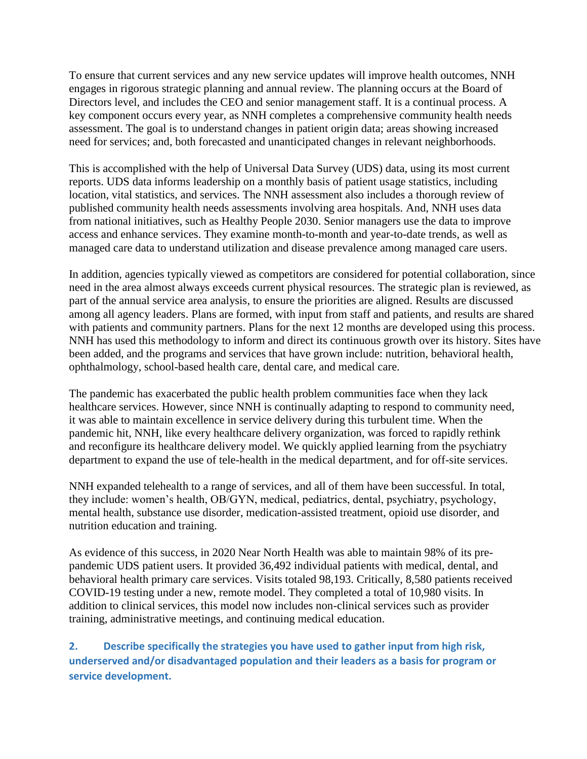To ensure that current services and any new service updates will improve health outcomes, NNH engages in rigorous strategic planning and annual review. The planning occurs at the Board of Directors level, and includes the CEO and senior management staff. It is a continual process. A key component occurs every year, as NNH completes a comprehensive community health needs assessment. The goal is to understand changes in patient origin data; areas showing increased need for services; and, both forecasted and unanticipated changes in relevant neighborhoods.

This is accomplished with the help of Universal Data Survey (UDS) data, using its most current reports. UDS data informs leadership on a monthly basis of patient usage statistics, including location, vital statistics, and services. The NNH assessment also includes a thorough review of published community health needs assessments involving area hospitals. And, NNH uses data from national initiatives, such as Healthy People 2030. Senior managers use the data to improve access and enhance services. They examine month-to-month and year-to-date trends, as well as managed care data to understand utilization and disease prevalence among managed care users.

In addition, agencies typically viewed as competitors are considered for potential collaboration, since need in the area almost always exceeds current physical resources. The strategic plan is reviewed, as part of the annual service area analysis, to ensure the priorities are aligned. Results are discussed among all agency leaders. Plans are formed, with input from staff and patients, and results are shared with patients and community partners. Plans for the next 12 months are developed using this process. NNH has used this methodology to inform and direct its continuous growth over its history. Sites have been added, and the programs and services that have grown include: nutrition, behavioral health, ophthalmology, school-based health care, dental care, and medical care.

The pandemic has exacerbated the public health problem communities face when they lack healthcare services. However, since NNH is continually adapting to respond to community need, it was able to maintain excellence in service delivery during this turbulent time. When the pandemic hit, NNH, like every healthcare delivery organization, was forced to rapidly rethink and reconfigure its healthcare delivery model. We quickly applied learning from the psychiatry department to expand the use of tele-health in the medical department, and for off-site services.

NNH expanded telehealth to a range of services, and all of them have been successful. In total, they include: women's health, OB/GYN, medical, pediatrics, dental, psychiatry, psychology, mental health, substance use disorder, medication-assisted treatment, opioid use disorder, and nutrition education and training.

As evidence of this success, in 2020 Near North Health was able to maintain 98% of its prepandemic UDS patient users. It provided 36,492 individual patients with medical, dental, and behavioral health primary care services. Visits totaled 98,193. Critically, 8,580 patients received COVID-19 testing under a new, remote model. They completed a total of 10,980 visits. In addition to clinical services, this model now includes non-clinical services such as provider training, administrative meetings, and continuing medical education.

**2. Describe specifically the strategies you have used to gather input from high risk, underserved and/or disadvantaged population and their leaders as a basis for program or service development.**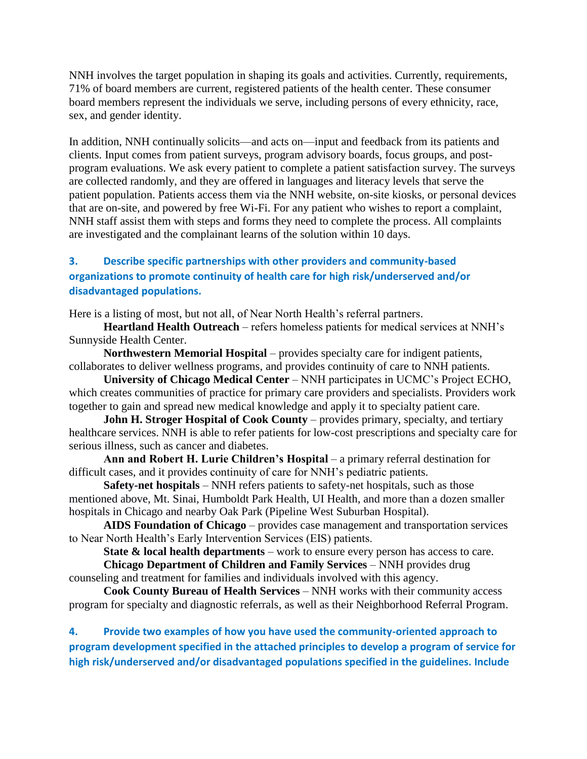NNH involves the target population in shaping its goals and activities. Currently, requirements, 71% of board members are current, registered patients of the health center. These consumer board members represent the individuals we serve, including persons of every ethnicity, race, sex, and gender identity.

In addition, NNH continually solicits—and acts on—input and feedback from its patients and clients. Input comes from patient surveys, program advisory boards, focus groups, and postprogram evaluations. We ask every patient to complete a patient satisfaction survey. The surveys are collected randomly, and they are offered in languages and literacy levels that serve the patient population. Patients access them via the NNH website, on-site kiosks, or personal devices that are on-site, and powered by free Wi-Fi. For any patient who wishes to report a complaint, NNH staff assist them with steps and forms they need to complete the process. All complaints are investigated and the complainant learns of the solution within 10 days.

## **3. Describe specific partnerships with other providers and community-based organizations to promote continuity of health care for high risk/underserved and/or disadvantaged populations.**

Here is a listing of most, but not all, of Near North Health's referral partners.

**Heartland Health Outreach** – refers homeless patients for medical services at NNH's Sunnyside Health Center.

**Northwestern Memorial Hospital** – provides specialty care for indigent patients, collaborates to deliver wellness programs, and provides continuity of care to NNH patients.

**University of Chicago Medical Center** – NNH participates in UCMC's Project ECHO, which creates communities of practice for primary care providers and specialists. Providers work together to gain and spread new medical knowledge and apply it to specialty patient care.

**John H. Stroger Hospital of Cook County** – provides primary, specialty, and tertiary healthcare services. NNH is able to refer patients for low-cost prescriptions and specialty care for serious illness, such as cancer and diabetes.

**Ann and Robert H. Lurie Children's Hospital** – a primary referral destination for difficult cases, and it provides continuity of care for NNH's pediatric patients.

**Safety-net hospitals** – NNH refers patients to safety-net hospitals, such as those mentioned above, Mt. Sinai, Humboldt Park Health, UI Health, and more than a dozen smaller hospitals in Chicago and nearby Oak Park (Pipeline West Suburban Hospital).

**AIDS Foundation of Chicago** – provides case management and transportation services to Near North Health's Early Intervention Services (EIS) patients.

**State & local health departments** – work to ensure every person has access to care.

**Chicago Department of Children and Family Services** – NNH provides drug counseling and treatment for families and individuals involved with this agency.

**Cook County Bureau of Health Services** – NNH works with their community access program for specialty and diagnostic referrals, as well as their Neighborhood Referral Program.

**4. Provide two examples of how you have used the community-oriented approach to program development specified in the attached principles to develop a program of service for high risk/underserved and/or disadvantaged populations specified in the guidelines. Include**